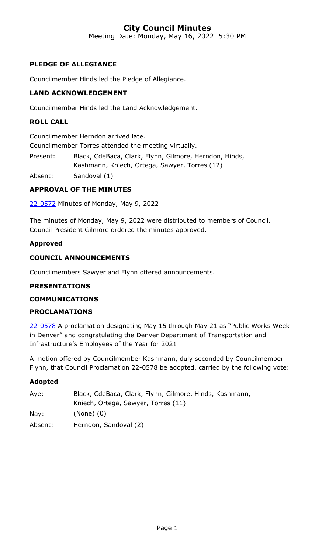#### **City Council Minutes** Meeting Date: Monday, May 16, 2022 5:30 PM

# **PLEDGE OF ALLEGIANCE**

Councilmember Hinds led the Pledge of Allegiance.

## **LAND ACKNOWLEDGEMENT**

Councilmember Hinds led the Land Acknowledgement.

#### **ROLL CALL**

Councilmember Herndon arrived late.

Councilmember Torres attended the meeting virtually.

Present: Black, CdeBaca, Clark, Flynn, Gilmore, Herndon, Hinds, Kashmann, Kniech, Ortega, Sawyer, Torres (12)

Absent: Sandoval (1)

## **APPROVAL OF THE MINUTES**

22-0572 [Minutes of Monday, May 9, 2022](http://denver.legistar.com/gateway.aspx?m=l&id=/matter.aspx?key=21639)

The minutes of Monday, May 9, 2022 were distributed to members of Council. Council President Gilmore ordered the minutes approved.

#### **Approved**

## **COUNCIL ANNOUNCEMENTS**

Councilmembers Sawyer and Flynn offered announcements.

#### **PRESENTATIONS**

#### **COMMUNICATIONS**

## **PROCLAMATIONS**

22-0578 A proclamation designating May 15 through May 21 as "Public Works Week [in Denver" and congratulating the Denver Department of Transportation and](http://denver.legistar.com/gateway.aspx?m=l&id=/matter.aspx?key=21645)  Infrastructure's Employees of the Year for 2021

A motion offered by Councilmember Kashmann, duly seconded by Councilmember Flynn, that Council Proclamation 22-0578 be adopted, carried by the following vote:

| Aye:    | Black, CdeBaca, Clark, Flynn, Gilmore, Hinds, Kashmann, |
|---------|---------------------------------------------------------|
|         | Kniech, Ortega, Sawyer, Torres (11)                     |
| Nay:    | $(None)$ $(0)$                                          |
| Absent: | Herndon, Sandoval (2)                                   |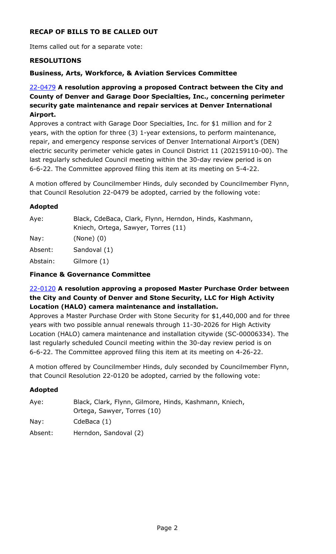# **RECAP OF BILLS TO BE CALLED OUT**

Items called out for a separate vote:

#### **RESOLUTIONS**

#### **Business, Arts, Workforce, & Aviation Services Committee**

## 22-0479 **A resolution approving a proposed Contract between the City and County of Denver and Garage Door Specialties, Inc., concerning perimeter security gate maintenance and repair services at Denver International Airport.**

Approves a contract with Garage Door Specialties, Inc. for \$1 million and for 2 years, with the option for three (3) 1-year extensions, to perform maintenance, repair, and emergency response services of Denver International Airport's (DEN) [electric security perimeter vehicle gates in Council District 11 \(202159110-00\). The](http://denver.legistar.com/gateway.aspx?m=l&id=/matter.aspx?key=21546)  last regularly scheduled Council meeting within the 30-day review period is on 6-6-22. The Committee approved filing this item at its meeting on 5-4-22.

A motion offered by Councilmember Hinds, duly seconded by Councilmember Flynn, that Council Resolution 22-0479 be adopted, carried by the following vote:

#### **Adopted**

| Aye:     | Black, CdeBaca, Clark, Flynn, Herndon, Hinds, Kashmann,<br>Kniech, Ortega, Sawyer, Torres (11) |
|----------|------------------------------------------------------------------------------------------------|
| Nay:     | $(None)$ $(0)$                                                                                 |
| Absent:  | Sandoval (1)                                                                                   |
| Abstain: | Gilmore (1)                                                                                    |

#### **Finance & Governance Committee**

#### 22-0120 **A resolution approving a proposed Master Purchase Order between the City and County of Denver and Stone Security, LLC for High Activity Location (HALO) camera maintenance and installation.**

[Approves a Master Purchase Order with Stone Security for \\$1,440,000 and for three](http://denver.legistar.com/gateway.aspx?m=l&id=/matter.aspx?key=21186)  years with two possible annual renewals through 11-30-2026 for High Activity Location (HALO) camera maintenance and installation citywide (SC-00006334). The last regularly scheduled Council meeting within the 30-day review period is on 6-6-22. The Committee approved filing this item at its meeting on 4-26-22.

A motion offered by Councilmember Hinds, duly seconded by Councilmember Flynn, that Council Resolution 22-0120 be adopted, carried by the following vote:

| Aye:    | Black, Clark, Flynn, Gilmore, Hinds, Kashmann, Kniech, |
|---------|--------------------------------------------------------|
|         | Ortega, Sawyer, Torres (10)                            |
| Nay:    | CdeBaca $(1)$                                          |
| Absent: | Herndon, Sandoval (2)                                  |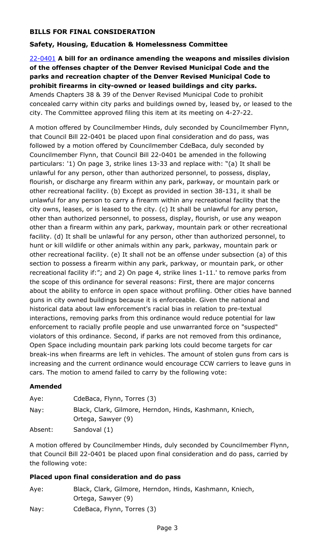# **BILLS FOR FINAL CONSIDERATION**

## **Safety, Housing, Education & Homelessness Committee**

# 22-0401 **A bill for an ordinance amending the weapons and missiles division of the offenses chapter of the Denver Revised Municipal Code and the parks and recreation chapter of the Denver Revised Municipal Code to prohibit firearms in city-owned or leased buildings and city parks.** Amends Chapters 38 & 39 of the Denver Revised Municipal Code to prohibit [concealed carry within city parks and buildings owned by, leased by, or leased to the](http://denver.legistar.com/gateway.aspx?m=l&id=/matter.aspx?key=21468)

city. The Committee approved filing this item at its meeting on 4-27-22.

A motion offered by Councilmember Hinds, duly seconded by Councilmember Flynn, that Council Bill 22-0401 be placed upon final consideration and do pass, was followed by a motion offered by Councilmember CdeBaca, duly seconded by Councilmember Flynn, that Council Bill 22-0401 be amended in the following particulars: '1) On page 3, strike lines 13-33 and replace with: "(a) It shall be unlawful for any person, other than authorized personnel, to possess, display, flourish, or discharge any firearm within any park, parkway, or mountain park or other recreational facility. (b) Except as provided in section 38-131, it shall be unlawful for any person to carry a firearm within any recreational facility that the city owns, leases, or is leased to the city. (c) It shall be unlawful for any person, other than authorized personnel, to possess, display, flourish, or use any weapon other than a firearm within any park, parkway, mountain park or other recreational facility. (d) It shall be unlawful for any person, other than authorized personnel, to hunt or kill wildlife or other animals within any park, parkway, mountain park or other recreational facility. (e) It shall not be an offense under subsection (a) of this section to possess a firearm within any park, parkway, or mountain park, or other recreational facility if:"; and 2) On page 4, strike lines 1-11.' to remove parks from the scope of this ordinance for several reasons: First, there are major concerns about the ability to enforce in open space without profiling. Other cities have banned guns in city owned buildings because it is enforceable. Given the national and historical data about law enforcement's racial bias in relation to pre-textual interactions, removing parks from this ordinance would reduce potential for law enforcement to racially profile people and use unwarranted force on "suspected" violators of this ordinance. Second, if parks are not removed from this ordinance, Open Space including mountain park parking lots could become targets for car break-ins when firearms are left in vehicles. The amount of stolen guns from cars is increasing and the current ordinance would encourage CCW carriers to leave guns in cars. The motion to amend failed to carry by the following vote:

## **Amended**

| Aye:    | CdeBaca, Flynn, Torres (3)                                                     |
|---------|--------------------------------------------------------------------------------|
| Nay:    | Black, Clark, Gilmore, Herndon, Hinds, Kashmann, Kniech,<br>Ortega, Sawyer (9) |
| Absent: | Sandoval (1)                                                                   |

A motion offered by Councilmember Hinds, duly seconded by Councilmember Flynn, that Council Bill 22-0401 be placed upon final consideration and do pass, carried by the following vote:

## **Placed upon final consideration and do pass**

| Aye: | Black, Clark, Gilmore, Herndon, Hinds, Kashmann, Kniech, |
|------|----------------------------------------------------------|
|      | Ortega, Sawyer (9)                                       |
| Nay: | CdeBaca, Flynn, Torres (3)                               |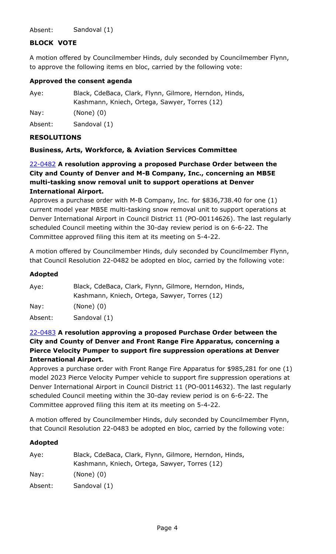Absent: Sandoval (1)

## **BLOCK VOTE**

A motion offered by Councilmember Hinds, duly seconded by Councilmember Flynn, to approve the following items en bloc, carried by the following vote:

#### **Approved the consent agenda**

| Aye:    | Black, CdeBaca, Clark, Flynn, Gilmore, Herndon, Hinds, |
|---------|--------------------------------------------------------|
|         | Kashmann, Kniech, Ortega, Sawyer, Torres (12)          |
| Nay:    | $(None)$ $(0)$                                         |
| Absent: | Sandoval (1)                                           |

#### **RESOLUTIONS**

#### **Business, Arts, Workforce, & Aviation Services Committee**

22-0482 **A resolution approving a proposed Purchase Order between the City and County of Denver and M-B Company, Inc., concerning an MB5E multi-tasking snow removal unit to support operations at Denver International Airport.**

Approves a purchase order with M-B Company, Inc. for \$836,738.40 for one (1) current model year MB5E multi-tasking snow removal unit to support operations at [Denver International Airport in Council District 11 \(PO-00114626\). The last regularly](http://denver.legistar.com/gateway.aspx?m=l&id=/matter.aspx?key=21549)  scheduled Council meeting within the 30-day review period is on 6-6-22. The Committee approved filing this item at its meeting on 5-4-22.

A motion offered by Councilmember Hinds, duly seconded by Councilmember Flynn, that Council Resolution 22-0482 be adopted en bloc, carried by the following vote:

#### **Adopted**

| Aye:    | Black, CdeBaca, Clark, Flynn, Gilmore, Herndon, Hinds, |
|---------|--------------------------------------------------------|
|         | Kashmann, Kniech, Ortega, Sawyer, Torres (12)          |
| Nay:    | $(None)$ $(0)$                                         |
| Absent: | Sandoval (1)                                           |

## 22-0483 **A resolution approving a proposed Purchase Order between the City and County of Denver and Front Range Fire Apparatus, concerning a Pierce Velocity Pumper to support fire suppression operations at Denver International Airport.**

[Approves a purchase order with Front Range Fire Apparatus for \\$985,281 for one \(1\)](http://denver.legistar.com/gateway.aspx?m=l&id=/matter.aspx?key=21550)  model 2023 Pierce Velocity Pumper vehicle to support fire suppression operations at Denver International Airport in Council District 11 (PO-00114632). The last regularly scheduled Council meeting within the 30-day review period is on 6-6-22. The Committee approved filing this item at its meeting on 5-4-22.

A motion offered by Councilmember Hinds, duly seconded by Councilmember Flynn, that Council Resolution 22-0483 be adopted en bloc, carried by the following vote:

| Black, CdeBaca, Clark, Flynn, Gilmore, Herndon, Hinds, |
|--------------------------------------------------------|
| Kashmann, Kniech, Ortega, Sawyer, Torres (12)          |
| $(None)$ $(0)$                                         |
| Sandoval (1)                                           |
|                                                        |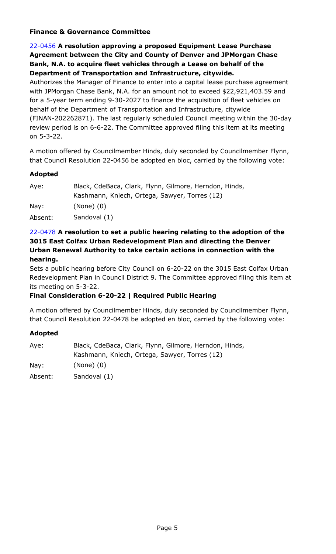## **Finance & Governance Committee**

## 22-0456 **A resolution approving a proposed Equipment Lease Purchase Agreement between the City and County of Denver and JPMorgan Chase Bank, N.A. to acquire fleet vehicles through a Lease on behalf of the Department of Transportation and Infrastructure, citywide.**

Authorizes the Manager of Finance to enter into a capital lease purchase agreement with JPMorgan Chase Bank, N.A. for an amount not to exceed \$22,921,403.59 and for a 5-year term ending 9-30-2027 to finance the acquisition of fleet vehicles on behalf of the Department of Transportation and Infrastructure, citywide [\(FINAN-202262871\). The last regularly scheduled Council meeting within the 30-day](http://denver.legistar.com/gateway.aspx?m=l&id=/matter.aspx?key=21523)  review period is on 6-6-22. The Committee approved filing this item at its meeting on 5-3-22.

A motion offered by Councilmember Hinds, duly seconded by Councilmember Flynn, that Council Resolution 22-0456 be adopted en bloc, carried by the following vote:

## **Adopted**

| Aye:    | Black, CdeBaca, Clark, Flynn, Gilmore, Herndon, Hinds, |
|---------|--------------------------------------------------------|
|         | Kashmann, Kniech, Ortega, Sawyer, Torres (12)          |
| Nay:    | $(None)$ $(0)$                                         |
| Absent: | Sandoval (1)                                           |

## 22-0478 **A resolution to set a public hearing relating to the adoption of the 3015 East Colfax Urban Redevelopment Plan and directing the Denver Urban Renewal Authority to take certain actions in connection with the hearing.**

Sets a public hearing before City Council on 6-20-22 on the 3015 East Colfax Urban [Redevelopment Plan in Council District 9. The Committee approved filing this item at](http://denver.legistar.com/gateway.aspx?m=l&id=/matter.aspx?key=21545)  its meeting on 5-3-22.

## **Final Consideration 6-20-22 | Required Public Hearing**

A motion offered by Councilmember Hinds, duly seconded by Councilmember Flynn, that Council Resolution 22-0478 be adopted en bloc, carried by the following vote:

| Aye:    | Black, CdeBaca, Clark, Flynn, Gilmore, Herndon, Hinds,<br>Kashmann, Kniech, Ortega, Sawyer, Torres (12) |
|---------|---------------------------------------------------------------------------------------------------------|
| Nay:    | $(None)$ $(0)$                                                                                          |
| Absent: | Sandoval (1)                                                                                            |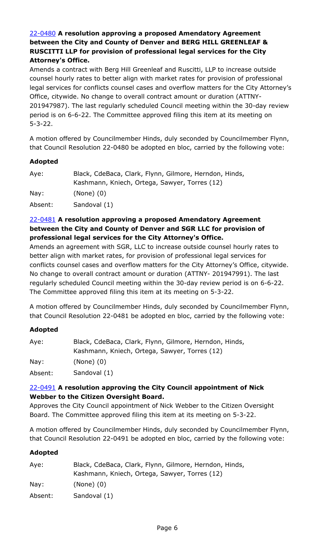# 22-0480 **A resolution approving a proposed Amendatory Agreement between the City and County of Denver and BERG HILL GREENLEAF & RUSCITTI LLP for provision of professional legal services for the City Attorney's Office.**

Amends a contract with Berg Hill Greenleaf and Ruscitti, LLP to increase outside counsel hourly rates to better align with market rates for provision of professional [legal services for conflicts counsel cases and overflow matters for the City Attorney's](http://denver.legistar.com/gateway.aspx?m=l&id=/matter.aspx?key=21547)  Office, citywide. No change to overall contract amount or duration (ATTNY-201947987). The last regularly scheduled Council meeting within the 30-day review period is on 6-6-22. The Committee approved filing this item at its meeting on 5-3-22.

A motion offered by Councilmember Hinds, duly seconded by Councilmember Flynn, that Council Resolution 22-0480 be adopted en bloc, carried by the following vote:

## **Adopted**

| Aye:    | Black, CdeBaca, Clark, Flynn, Gilmore, Herndon, Hinds, |
|---------|--------------------------------------------------------|
|         | Kashmann, Kniech, Ortega, Sawyer, Torres (12)          |
| Nay:    | $(None)$ $(0)$                                         |
| Absent: | Sandoval (1)                                           |

# 22-0481 **A resolution approving a proposed Amendatory Agreement between the City and County of Denver and SGR LLC for provision of professional legal services for the City Attorney's Office.**

Amends an agreement with SGR, LLC to increase outside counsel hourly rates to better align with market rates, for provision of professional legal services for [conflicts counsel cases and overflow matters for the City Attorney's Office, citywide.](http://denver.legistar.com/gateway.aspx?m=l&id=/matter.aspx?key=21548)  No change to overall contract amount or duration (ATTNY- 201947991). The last regularly scheduled Council meeting within the 30-day review period is on 6-6-22. The Committee approved filing this item at its meeting on 5-3-22.

A motion offered by Councilmember Hinds, duly seconded by Councilmember Flynn, that Council Resolution 22-0481 be adopted en bloc, carried by the following vote:

## **Adopted**

| Aye:    | Black, CdeBaca, Clark, Flynn, Gilmore, Herndon, Hinds, |
|---------|--------------------------------------------------------|
|         | Kashmann, Kniech, Ortega, Sawyer, Torres (12)          |
| Nay:    | $(None)$ $(0)$                                         |
| Absent: | Sandoval (1)                                           |

## 22-0491 **A resolution approving the City Council appointment of Nick Webber to the Citizen Oversight Board.**

[Approves the City Council appointment of Nick Webber to the Citizen Oversight](http://denver.legistar.com/gateway.aspx?m=l&id=/matter.aspx?key=21558)  Board. The Committee approved filing this item at its meeting on 5-3-22.

A motion offered by Councilmember Hinds, duly seconded by Councilmember Flynn, that Council Resolution 22-0491 be adopted en bloc, carried by the following vote:

| Aye:    | Black, CdeBaca, Clark, Flynn, Gilmore, Herndon, Hinds, |
|---------|--------------------------------------------------------|
|         | Kashmann, Kniech, Ortega, Sawyer, Torres (12)          |
| Nay:    | $(None)$ $(0)$                                         |
| Absent: | Sandoval (1)                                           |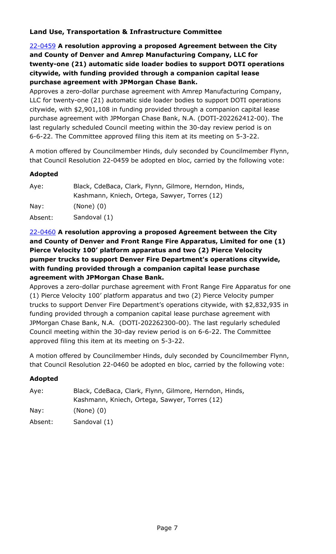## **Land Use, Transportation & Infrastructure Committee**

22-0459 **A resolution approving a proposed Agreement between the City and County of Denver and Amrep Manufacturing Company, LLC for [twenty-one \(21\) automatic side loader bodies to support DOTI operations](http://denver.legistar.com/gateway.aspx?m=l&id=/matter.aspx?key=21526)  citywide, with funding provided through a companion capital lease purchase agreement with JPMorgan Chase Bank.**

Approves a zero-dollar purchase agreement with Amrep Manufacturing Company, LLC for twenty-one (21) automatic side loader bodies to support DOTI operations citywide, with \$2,901,108 in funding provided through a companion capital lease purchase agreement with JPMorgan Chase Bank, N.A. (DOTI-202262412-00). The last regularly scheduled Council meeting within the 30-day review period is on 6-6-22. The Committee approved filing this item at its meeting on 5-3-22.

A motion offered by Councilmember Hinds, duly seconded by Councilmember Flynn, that Council Resolution 22-0459 be adopted en bloc, carried by the following vote:

#### **Adopted**

| Aye:    | Black, CdeBaca, Clark, Flynn, Gilmore, Herndon, Hinds, |
|---------|--------------------------------------------------------|
|         | Kashmann, Kniech, Ortega, Sawyer, Torres (12)          |
| Nay:    | $(None)$ $(0)$                                         |
| Absent: | Sandoval (1)                                           |

## 22-0460 **A resolution approving a proposed Agreement between the City and County of Denver and Front Range Fire Apparatus, Limited for one (1) Pierce Velocity 100' platform apparatus and two (2) Pierce Velocity pumper trucks to support Denver Fire Department's operations citywide, with funding provided through a companion capital lease purchase agreement with JPMorgan Chase Bank.**

[Approves a zero-dollar purchase agreement with Front Range Fire Apparatus for one](http://denver.legistar.com/gateway.aspx?m=l&id=/matter.aspx?key=21527)  (1) Pierce Velocity 100' platform apparatus and two (2) Pierce Velocity pumper trucks to support Denver Fire Department's operations citywide, with \$2,832,935 in funding provided through a companion capital lease purchase agreement with JPMorgan Chase Bank, N.A. (DOTI-202262300-00). The last regularly scheduled Council meeting within the 30-day review period is on 6-6-22. The Committee approved filing this item at its meeting on 5-3-22.

A motion offered by Councilmember Hinds, duly seconded by Councilmember Flynn, that Council Resolution 22-0460 be adopted en bloc, carried by the following vote:

| Aye:    | Black, CdeBaca, Clark, Flynn, Gilmore, Herndon, Hinds, |
|---------|--------------------------------------------------------|
|         | Kashmann, Kniech, Ortega, Sawyer, Torres (12)          |
| Nay:    | $(None)$ $(0)$                                         |
| Absent: | Sandoval (1)                                           |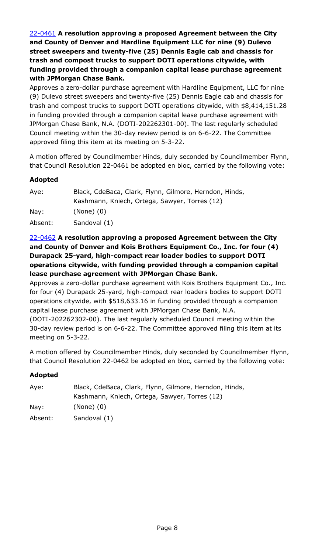22-0461 **A resolution approving a proposed Agreement between the City and County of Denver and Hardline Equipment LLC for nine (9) Dulevo street sweepers and twenty-five (25) Dennis Eagle cab and chassis for trash and compost trucks to support DOTI operations citywide, with funding provided through a companion capital lease purchase agreement with JPMorgan Chase Bank.**

Approves a zero-dollar purchase agreement with Hardline Equipment, LLC for nine (9) Dulevo street sweepers and twenty-five (25) Dennis Eagle cab and chassis for [trash and compost trucks to support DOTI operations citywide, with \\$8,414,151.28](http://denver.legistar.com/gateway.aspx?m=l&id=/matter.aspx?key=21528)  in funding provided through a companion capital lease purchase agreement with JPMorgan Chase Bank, N.A. (DOTI-202262301-00). The last regularly scheduled Council meeting within the 30-day review period is on 6-6-22. The Committee approved filing this item at its meeting on 5-3-22.

A motion offered by Councilmember Hinds, duly seconded by Councilmember Flynn, that Council Resolution 22-0461 be adopted en bloc, carried by the following vote:

## **Adopted**

| Aye:    | Black, CdeBaca, Clark, Flynn, Gilmore, Herndon, Hinds, |
|---------|--------------------------------------------------------|
|         | Kashmann, Kniech, Ortega, Sawyer, Torres (12)          |
| Nay:    | $(None)$ $(0)$                                         |
| Absent: | Sandoval (1)                                           |

## 22-0462 **A resolution approving a proposed Agreement between the City and County of Denver and Kois Brothers Equipment Co., Inc. for four (4) Durapack 25-yard, high-compact rear loader bodies to support DOTI operations citywide, with funding provided through a companion capital lease purchase agreement with JPMorgan Chase Bank.**

[Approves a zero-dollar purchase agreement with Kois Brothers Equipment Co., Inc.](http://denver.legistar.com/gateway.aspx?m=l&id=/matter.aspx?key=21529)  for four (4) Durapack 25-yard, high-compact rear loaders bodies to support DOTI operations citywide, with \$518,633.16 in funding provided through a companion capital lease purchase agreement with JPMorgan Chase Bank, N.A. (DOTI-202262302-00). The last regularly scheduled Council meeting within the 30-day review period is on 6-6-22. The Committee approved filing this item at its meeting on 5-3-22.

A motion offered by Councilmember Hinds, duly seconded by Councilmember Flynn, that Council Resolution 22-0462 be adopted en bloc, carried by the following vote:

| Aye:    | Black, CdeBaca, Clark, Flynn, Gilmore, Herndon, Hinds, |
|---------|--------------------------------------------------------|
|         | Kashmann, Kniech, Ortega, Sawyer, Torres (12)          |
| Nay:    | $(None)$ $(0)$                                         |
| Absent: | Sandoval (1)                                           |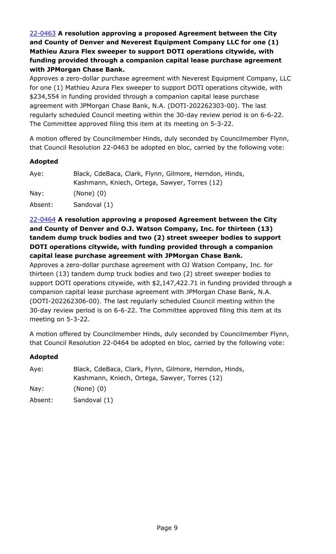22-0463 **A resolution approving a proposed Agreement between the City and County of Denver and Neverest Equipment Company LLC for one (1) Mathieu Azura Flex sweeper to support DOTI operations citywide, with funding provided through a companion capital lease purchase agreement with JPMorgan Chase Bank.**

[Approves a zero-dollar purchase agreement with Neverest Equipment Company, LLC](http://denver.legistar.com/gateway.aspx?m=l&id=/matter.aspx?key=21530)  for one (1) Mathieu Azura Flex sweeper to support DOTI operations citywide, with \$234,554 in funding provided through a companion capital lease purchase agreement with JPMorgan Chase Bank, N.A. (DOTI-202262303-00). The last regularly scheduled Council meeting within the 30-day review period is on 6-6-22. The Committee approved filing this item at its meeting on 5-3-22.

A motion offered by Councilmember Hinds, duly seconded by Councilmember Flynn, that Council Resolution 22-0463 be adopted en bloc, carried by the following vote:

## **Adopted**

| Aye:    | Black, CdeBaca, Clark, Flynn, Gilmore, Herndon, Hinds, |
|---------|--------------------------------------------------------|
|         | Kashmann, Kniech, Ortega, Sawyer, Torres (12)          |
| Nay:    | $(None)$ $(0)$                                         |
| Absent: | Sandoval (1)                                           |

22-0464 **A resolution approving a proposed Agreement between the City and County of Denver and O.J. Watson Company, Inc. for thirteen (13) tandem dump truck bodies and two (2) street sweeper bodies to support DOTI operations citywide, with funding provided through a companion capital lease purchase agreement with JPMorgan Chase Bank.**

Approves a zero-dollar purchase agreement with OJ Watson Company, Inc. for thirteen (13) tandem dump truck bodies and two (2) street sweeper bodies to [support DOTI operations citywide, with \\$2,147,422.71 in funding provided through a](http://denver.legistar.com/gateway.aspx?m=l&id=/matter.aspx?key=21531)  companion capital lease purchase agreement with JPMorgan Chase Bank, N.A. (DOTI-202262306-00). The last regularly scheduled Council meeting within the 30-day review period is on 6-6-22. The Committee approved filing this item at its meeting on 5-3-22.

A motion offered by Councilmember Hinds, duly seconded by Councilmember Flynn, that Council Resolution 22-0464 be adopted en bloc, carried by the following vote:

| Aye:    | Black, CdeBaca, Clark, Flynn, Gilmore, Herndon, Hinds, |
|---------|--------------------------------------------------------|
|         | Kashmann, Kniech, Ortega, Sawyer, Torres (12)          |
| Nay:    | $(None)$ $(0)$                                         |
| Absent: | Sandoval (1)                                           |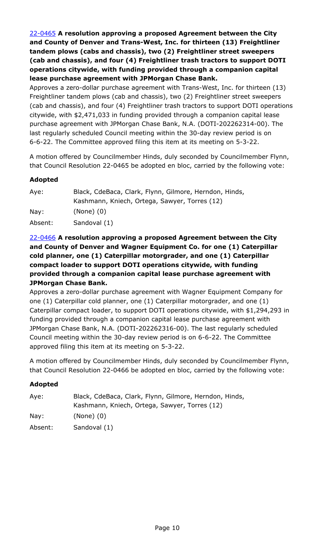22-0465 **A resolution approving a proposed Agreement between the City and County of Denver and Trans-West, Inc. for thirteen (13) Freightliner tandem plows (cabs and chassis), two (2) Freightliner street sweepers (cab and chassis), and four (4) Freightliner trash tractors to support DOTI operations citywide, with funding provided through a companion capital lease purchase agreement with JPMorgan Chase Bank.**

Approves a zero-dollar purchase agreement with Trans-West, Inc. for thirteen (13) Freightliner tandem plows (cab and chassis), two (2) Freightliner street sweepers [\(cab and chassis\), and four \(4\) Freightliner trash tractors to support DOTI operations](http://denver.legistar.com/gateway.aspx?m=l&id=/matter.aspx?key=21532)  citywide, with \$2,471,033 in funding provided through a companion capital lease purchase agreement with JPMorgan Chase Bank, N.A. (DOTI-202262314-00). The last regularly scheduled Council meeting within the 30-day review period is on 6-6-22. The Committee approved filing this item at its meeting on 5-3-22.

A motion offered by Councilmember Hinds, duly seconded by Councilmember Flynn, that Council Resolution 22-0465 be adopted en bloc, carried by the following vote:

# **Adopted**

| Black, CdeBaca, Clark, Flynn, Gilmore, Herndon, Hinds, |
|--------------------------------------------------------|
| Kashmann, Kniech, Ortega, Sawyer, Torres (12)          |
| $(None)$ $(0)$                                         |
| Sandoval (1)                                           |
|                                                        |

## 22-0466 **A resolution approving a proposed Agreement between the City and County of Denver and Wagner Equipment Co. for one (1) Caterpillar cold planner, one (1) Caterpillar motorgrader, and one (1) Caterpillar compact loader to support DOTI operations citywide, with funding provided through a companion capital lease purchase agreement with JPMorgan Chase Bank.**

Approves a zero-dollar purchase agreement with Wagner Equipment Company for one (1) Caterpillar cold planner, one (1) Caterpillar motorgrader, and one (1) [Caterpillar compact loader, to support DOTI operations citywide, with \\$1,294,293 in](http://denver.legistar.com/gateway.aspx?m=l&id=/matter.aspx?key=21533)  funding provided through a companion capital lease purchase agreement with JPMorgan Chase Bank, N.A. (DOTI-202262316-00). The last regularly scheduled Council meeting within the 30-day review period is on 6-6-22. The Committee approved filing this item at its meeting on 5-3-22.

A motion offered by Councilmember Hinds, duly seconded by Councilmember Flynn, that Council Resolution 22-0466 be adopted en bloc, carried by the following vote:

| Aye:    | Black, CdeBaca, Clark, Flynn, Gilmore, Herndon, Hinds, |
|---------|--------------------------------------------------------|
|         | Kashmann, Kniech, Ortega, Sawyer, Torres (12)          |
| Nay:    | $(None)$ $(0)$                                         |
| Absent: | Sandoval (1)                                           |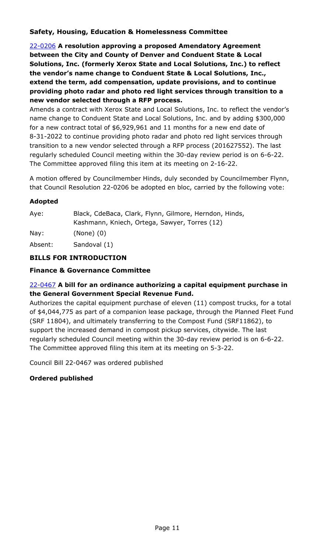## **Safety, Housing, Education & Homelessness Committee**

22-0206 **A resolution approving a proposed Amendatory Agreement between the City and County of Denver and Conduent State & Local Solutions, Inc. (formerly Xerox State and Local Solutions, Inc.) to reflect the vendor's name change to Conduent State & Local Solutions, Inc., extend the term, add compensation, update provisions, and to continue providing photo radar and photo red light services through transition to a new vendor selected through a RFP process.**

[Amends a contract with Xerox State and Local Solutions, Inc. to reflect the vendor's](http://denver.legistar.com/gateway.aspx?m=l&id=/matter.aspx?key=21273)  name change to Conduent State and Local Solutions, Inc. and by adding \$300,000 for a new contract total of \$6,929,961 and 11 months for a new end date of 8-31-2022 to continue providing photo radar and photo red light services through transition to a new vendor selected through a RFP process (201627552). The last regularly scheduled Council meeting within the 30-day review period is on 6-6-22. The Committee approved filing this item at its meeting on 2-16-22.

A motion offered by Councilmember Hinds, duly seconded by Councilmember Flynn, that Council Resolution 22-0206 be adopted en bloc, carried by the following vote:

#### **Adopted**

| Aye:    | Black, CdeBaca, Clark, Flynn, Gilmore, Herndon, Hinds, |
|---------|--------------------------------------------------------|
|         | Kashmann, Kniech, Ortega, Sawyer, Torres (12)          |
| Nay:    | $(None)$ $(0)$                                         |
| Absent: | Sandoval (1)                                           |

# **BILLS FOR INTRODUCTION**

#### **Finance & Governance Committee**

# 22-0467 **A bill for an ordinance authorizing a capital equipment purchase in the General Government Special Revenue Fund.**

Authorizes the capital equipment purchase of eleven (11) compost trucks, for a total [of \\$4,044,775 as part of a companion lease package, through the Planned Fleet Fund](http://denver.legistar.com/gateway.aspx?m=l&id=/matter.aspx?key=21534)  (SRF 11804), and ultimately transferring to the Compost Fund (SRF11862), to support the increased demand in compost pickup services, citywide. The last regularly scheduled Council meeting within the 30-day review period is on 6-6-22. The Committee approved filing this item at its meeting on 5-3-22.

Council Bill 22-0467 was ordered published

## **Ordered published**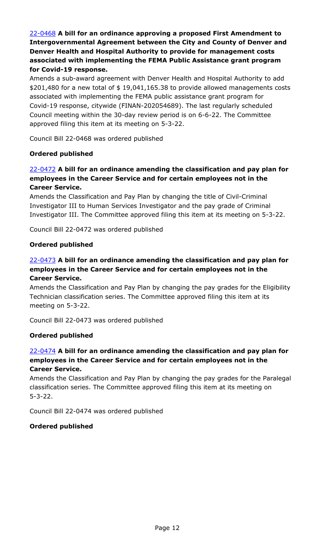# 22-0468 **A bill for an ordinance approving a proposed First Amendment to Intergovernmental Agreement between the City and County of Denver and Denver Health and Hospital Authority to provide for management costs associated with implementing the FEMA Public Assistance grant program for Covid-19 response.**

Amends a sub-award agreement with Denver Health and Hospital Authority to add [\\$201,480 for a new total of \\$ 19,041,165.38 to provide allowed managements costs](http://denver.legistar.com/gateway.aspx?m=l&id=/matter.aspx?key=21535)  associated with implementing the FEMA public assistance grant program for Covid-19 response, citywide (FINAN-202054689). The last regularly scheduled Council meeting within the 30-day review period is on 6-6-22. The Committee approved filing this item at its meeting on 5-3-22.

Council Bill 22-0468 was ordered published

## **Ordered published**

## 22-0472 **A bill for an ordinance amending the classification and pay plan for employees in the Career Service and for certain employees not in the Career Service.**

Amends the Classification and Pay Plan by changing the title of Civil-Criminal Investigator III to Human Services Investigator and the pay grade of Criminal [Investigator III. The Committee approved filing this item at its meeting on 5-3-22.](http://denver.legistar.com/gateway.aspx?m=l&id=/matter.aspx?key=21539)

Council Bill 22-0472 was ordered published

#### **Ordered published**

## 22-0473 **A bill for an ordinance amending the classification and pay plan for employees in the Career Service and for certain employees not in the Career Service.**

[Amends the Classification and Pay Plan by changing the pay grades for the Eligibility](http://denver.legistar.com/gateway.aspx?m=l&id=/matter.aspx?key=21540)  Technician classification series. The Committee approved filing this item at its meeting on 5-3-22.

Council Bill 22-0473 was ordered published

## **Ordered published**

## 22-0474 **A bill for an ordinance amending the classification and pay plan for employees in the Career Service and for certain employees not in the Career Service.**

[Amends the Classification and Pay Plan by changing the pay grades for the Paralegal](http://denver.legistar.com/gateway.aspx?m=l&id=/matter.aspx?key=21541)  classification series. The Committee approved filing this item at its meeting on 5-3-22.

Council Bill 22-0474 was ordered published

#### **Ordered published**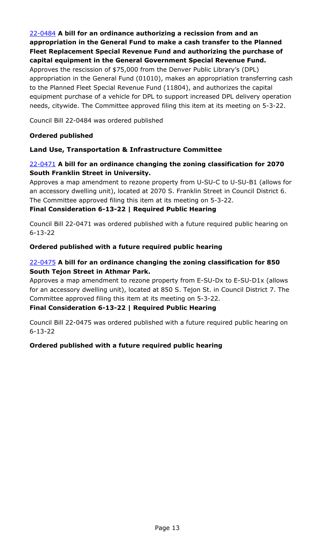22-0484 **A bill for an ordinance authorizing a recission from and an appropriation in the General Fund to make a cash transfer to the Planned Fleet Replacement Special Revenue Fund and authorizing the purchase of capital equipment in the General Government Special Revenue Fund.**

Approves the rescission of \$75,000 from the Denver Public Library's (DPL) [appropriation in the General Fund \(01010\), makes an appropriation transferring cash](http://denver.legistar.com/gateway.aspx?m=l&id=/matter.aspx?key=21551)  to the Planned Fleet Special Revenue Fund (11804), and authorizes the capital equipment purchase of a vehicle for DPL to support increased DPL delivery operation needs, citywide. The Committee approved filing this item at its meeting on 5-3-22.

Council Bill 22-0484 was ordered published

#### **Ordered published**

## **Land Use, Transportation & Infrastructure Committee**

## 22-0471 **A bill for an ordinance changing the zoning classification for 2070 South Franklin Street in University.**

[Approves a map amendment to rezone property from U-SU-C to U-SU-B1 \(allows for](http://denver.legistar.com/gateway.aspx?m=l&id=/matter.aspx?key=21538)  an accessory dwelling unit), located at 2070 S. Franklin Street in Council District 6. The Committee approved filing this item at its meeting on 5-3-22.

#### **Final Consideration 6-13-22 | Required Public Hearing**

Council Bill 22-0471 was ordered published with a future required public hearing on 6-13-22

#### **Ordered published with a future required public hearing**

## 22-0475 **A bill for an ordinance changing the zoning classification for 850 South Tejon Street in Athmar Park.**

Approves a map amendment to rezone property from E-SU-Dx to E-SU-D1x (allows [for an accessory dwelling unit\), located at 850 S. Tejon St. in Council District 7. The](http://denver.legistar.com/gateway.aspx?m=l&id=/matter.aspx?key=21542)  Committee approved filing this item at its meeting on 5-3-22.

#### **Final Consideration 6-13-22 | Required Public Hearing**

Council Bill 22-0475 was ordered published with a future required public hearing on 6-13-22

## **Ordered published with a future required public hearing**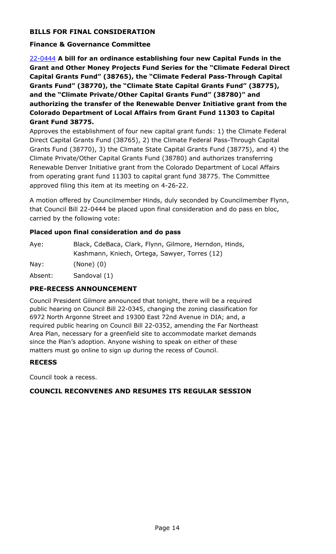# **BILLS FOR FINAL CONSIDERATION**

#### **Finance & Governance Committee**

22-0444 **A bill for an ordinance establishing four new Capital Funds in the [Grant and Other Money Projects Fund Series for the "Climate Federal Direct](http://denver.legistar.com/gateway.aspx?m=l&id=/matter.aspx?key=21511)  Capital Grants Fund" (38765), the "Climate Federal Pass-Through Capital Grants Fund" (38770), the "Climate State Capital Grants Fund" (38775), and the "Climate Private/Other Capital Grants Fund" (38780)" and authorizing the transfer of the Renewable Denver Initiative grant from the Colorado Department of Local Affairs from Grant Fund 11303 to Capital Grant Fund 38775.**

Approves the establishment of four new capital grant funds: 1) the Climate Federal Direct Capital Grants Fund (38765), 2) the Climate Federal Pass-Through Capital Grants Fund (38770), 3) the Climate State Capital Grants Fund (38775), and 4) the Climate Private/Other Capital Grants Fund (38780) and authorizes transferring Renewable Denver Initiative grant from the Colorado Department of Local Affairs from operating grant fund 11303 to capital grant fund 38775. The Committee approved filing this item at its meeting on 4-26-22.

A motion offered by Councilmember Hinds, duly seconded by Councilmember Flynn, that Council Bill 22-0444 be placed upon final consideration and do pass en bloc, carried by the following vote:

#### **Placed upon final consideration and do pass**

| Aye:    | Black, CdeBaca, Clark, Flynn, Gilmore, Herndon, Hinds, |
|---------|--------------------------------------------------------|
|         | Kashmann, Kniech, Ortega, Sawyer, Torres (12)          |
| Nay:    | $(None)$ $(0)$                                         |
| Absent: | Sandoval (1)                                           |

## **PRE-RECESS ANNOUNCEMENT**

Council President Gilmore announced that tonight, there will be a required public hearing on Council Bill 22-0345, changing the zoning classification for 6972 North Argonne Street and 19300 East 72nd Avenue in DIA; and, a required public hearing on Council Bill 22-0352, amending the Far Northeast Area Plan, necessary for a greenfield site to accommodate market demands since the Plan's adoption. Anyone wishing to speak on either of these matters must go online to sign up during the recess of Council.

## **RECESS**

Council took a recess.

#### **COUNCIL RECONVENES AND RESUMES ITS REGULAR SESSION**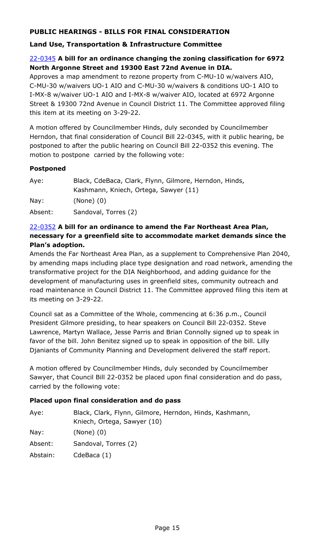# **PUBLIC HEARINGS - BILLS FOR FINAL CONSIDERATION**

## **Land Use, Transportation & Infrastructure Committee**

## 22-0345 **A bill for an ordinance changing the zoning classification for 6972 North Argonne Street and 19300 East 72nd Avenue in DIA.**

Approves a map amendment to rezone property from C-MU-10 w/waivers AIO, C-MU-30 w/waivers UO-1 AIO and C-MU-30 w/waivers & conditions UO-1 AIO to I-MX-8 w/waiver UO-1 AIO and I-MX-8 w/waiver AIO, located at 6972 Argonne [Street & 19300 72nd Avenue in Council District 11. The Committee approved filing](http://denver.legistar.com/gateway.aspx?m=l&id=/matter.aspx?key=21412)  this item at its meeting on 3-29-22.

A motion offered by Councilmember Hinds, duly seconded by Councilmember Herndon, that final consideration of Council Bill 22-0345, with it public hearing, be postponed to after the public hearing on Council Bill 22-0352 this evening. The motion to postpone carried by the following vote:

#### **Postponed**

| Aye:            | Black, CdeBaca, Clark, Flynn, Gilmore, Herndon, Hinds,<br>Kashmann, Kniech, Ortega, Sawyer (11) |
|-----------------|-------------------------------------------------------------------------------------------------|
| $\textsf{Nay}:$ | $(None)$ $(0)$                                                                                  |
| Absent:         | Sandoval, Torres (2)                                                                            |

## 22-0352 **A bill for an ordinance to amend the Far Northeast Area Plan, necessary for a greenfield site to accommodate market demands since the Plan's adoption.**

Amends the Far Northeast Area Plan, as a supplement to Comprehensive Plan 2040, [by amending maps including place type designation and road network, amending the](http://denver.legistar.com/gateway.aspx?m=l&id=/matter.aspx?key=21419)  transformative project for the DIA Neighborhood, and adding guidance for the development of manufacturing uses in greenfield sites, community outreach and road maintenance in Council District 11. The Committee approved filing this item at its meeting on 3-29-22.

Council sat as a Committee of the Whole, commencing at 6:36 p.m., Council President Gilmore presiding, to hear speakers on Council Bill 22-0352. Steve Lawrence, Martyn Wallace, Jesse Parris and Brian Connolly signed up to speak in favor of the bill. John Benitez signed up to speak in opposition of the bill. Lilly Djaniants of Community Planning and Development delivered the staff report.

A motion offered by Councilmember Hinds, duly seconded by Councilmember Sawyer, that Council Bill 22-0352 be placed upon final consideration and do pass, carried by the following vote:

## **Placed upon final consideration and do pass**

| Black, Clark, Flynn, Gilmore, Herndon, Hinds, Kashmann,<br>Kniech, Ortega, Sawyer (10) |
|----------------------------------------------------------------------------------------|
| $(None)$ $(0)$                                                                         |
| Sandoval, Torres (2)                                                                   |
| CdeBaca (1)                                                                            |
|                                                                                        |